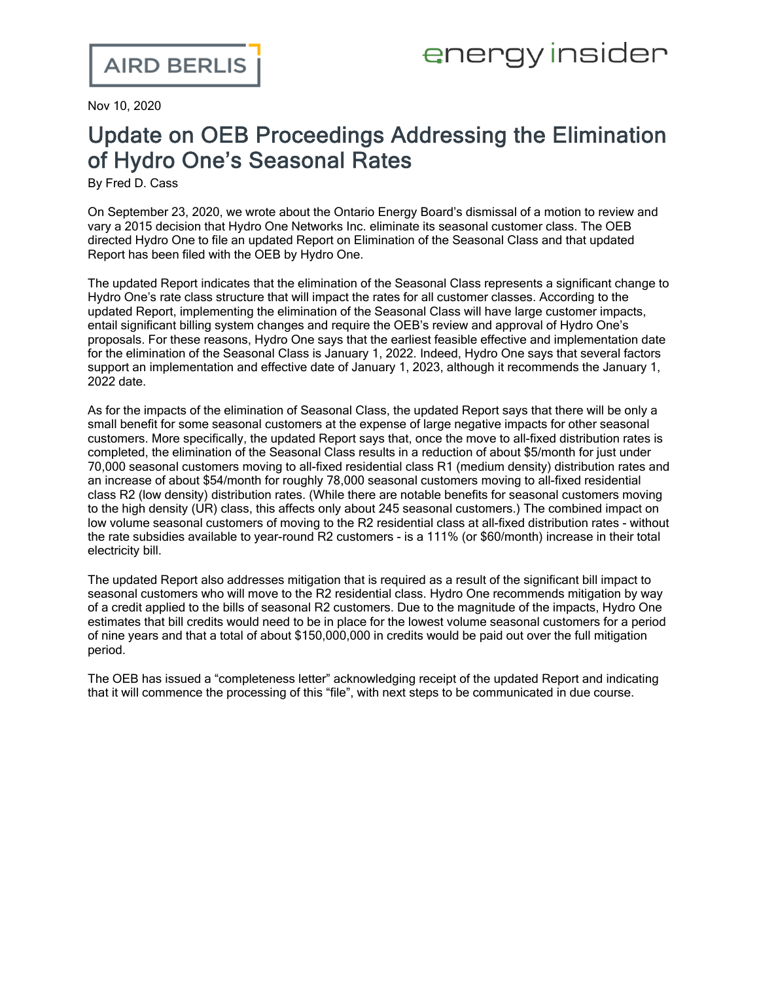Nov 10, 2020

## Update on OEB Proceedings Addressing the Elimination of Hydro One's Seasonal Rates

By Fred D. Cass

On September 23, 2020, we wrote [about](https://www.airdberlis.com/insights/blogs/energyinsider/post/ei-item/oeb-upholds-decision-eliminating-hydro-one-s-seasonal-rates) the Ontario Energy Board's dismissal of a motion to review and vary a 2015 decision that Hydro One Networks Inc. eliminate its seasonal customer class. The OEB directed Hydro One to file an updated Report on Elimination of the Seasonal Class and that [updated](http://www.rds.oeb.ca/HPECMWebDrawer/Record/690001/File/document) [Report](http://www.rds.oeb.ca/HPECMWebDrawer/Record/690001/File/document) has been filed with the OEB by Hydro One.

The updated Report indicates that the elimination of the Seasonal Class represents a significant change to Hydro One's rate class structure that will impact the rates for all customer classes. According to the updated Report, implementing the elimination of the Seasonal Class will have large customer impacts, entail significant billing system changes and require the OEB's review and approval of Hydro One's proposals. For these reasons, Hydro One says that the earliest feasible effective and implementation date for the elimination of the Seasonal Class is January 1, 2022. Indeed, Hydro One says that several factors support an implementation and effective date of January 1, 2023, although it recommends the January 1, 2022 date.

As for the impacts of the elimination of Seasonal Class, the updated Report says that there will be only a small benefit for some seasonal customers at the expense of large negative impacts for other seasonal customers. More specifically, the updated Report says that, once the move to all-fixed distribution rates is completed, the elimination of the Seasonal Class results in a reduction of about \$5/month for just under 70,000 seasonal customers moving to all-fixed residential class R1 (medium density) distribution rates and an increase of about \$54/month for roughly 78,000 seasonal customers moving to all-fixed residential class R2 (low density) distribution rates. (While there are notable benefits for seasonal customers moving to the high density (UR) class, this affects only about 245 seasonal customers.) The combined impact on low volume seasonal customers of moving to the R2 residential class at all-fixed distribution rates - without the rate subsidies available to year-round R2 customers - is a 111% (or \$60/month) increase in their total electricity bill.

The updated Report also addresses mitigation that is required as a result of the significant bill impact to seasonal customers who will move to the R2 residential class. Hydro One recommends mitigation by way of a credit applied to the bills of seasonal R2 customers. Due to the magnitude of the impacts, Hydro One estimates that bill credits would need to be in place for the lowest volume seasonal customers for a period of nine years and that a total of about \$150,000,000 in credits would be paid out over the full mitigation period.

The OEB has issued a "completeness letter" acknowledging receipt of the updated Report and indicating that it will commence the processing of this "file", with next steps to be communicated in due course.